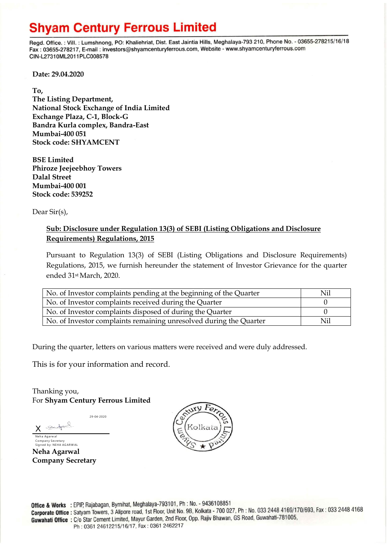## **Shyam Century Ferrous Limited**

Regd. Office.: Vill.: Lumshnong, PO: Khaliehriat, Dist. East Jaintia Hills, Meghalaya-793 210, Phone No. - 03655-278215/16/18 Fax: 03655-278217, E-mail: investors@shyamcenturyferrous.com, Website - www.shyamcenturyferrous.com CIN-L27310ML2011PLC008578

**Date: 29.04.2020**

**To,** 

**The Listing Department, National Stock Exchange of India Limited Exchange Plaza, C-1, Block-G Bandra Kurla complex, Bandra-East Mumbai-400 051 Stock code: SHYAMCENT**

**BSE Limited Phiroze Jeejeebhoy Towers Dalal Street Mumbai-400 001 Stock code: 539252**

Dear Sir(s),

## **Sub: Disclosure under Regulation 13(3) of SEBI (Listing Obligations and Disclosure Requirements) Regulations, 2015**

Pursuant to Regulation 13(3) of SEBI (Listing Obligations and Disclosure Requirements) Regulations, 2015, we furnish hereunder the statement of Investor Grievance for the quarter ended 31st March, 2020.

| No. of Investor complaints pending at the beginning of the Quarter | Nil |
|--------------------------------------------------------------------|-----|
| No. of Investor complaints received during the Quarter             |     |
| No. of Investor complaints disposed of during the Quarter          |     |
| No. of Investor complaints remaining unresolved during the Quarter | Nil |

During the quarter, letters on various matters were received and were duly addressed.

This is for your information and record.

Thanking you, For **Shyam Century Ferrous Limited**

29-04-2020

 $J_{\text{obs}}$ X Neha Agarwal

Company Secretary<br>Signed by: NEHA AGARWAL **Neha Agarwal** 

**Company Secretary**